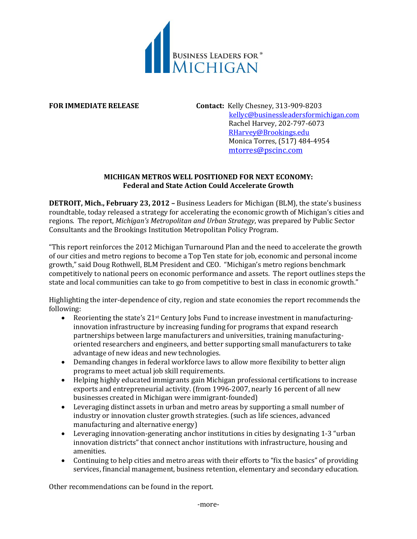

**FOR IMMEDIATE RELEASE Contact:** Kelly Chesney, 313-909-8203 [kellyc@businessleadersformichigan.com](mailto:kellyc@businessleadersformichigan.com) Rachel Harvey, 202-797-6073 [RHarvey@Brookings.edu](mailto:RHarvey@Brookings.edu) Monica Torres, (517) 484-4954 [mtorres@pscinc.com](mailto:mtorres@pscinc.com)

# **MICHIGAN METROS WELL POSITIONED FOR NEXT ECONOMY: Federal and State Action Could Accelerate Growth**

**DETROIT, Mich., February 23, 2012 –** Business Leaders for Michigan (BLM), the state's business roundtable, today released a strategy for accelerating the economic growth of Michigan's cities and regions. The report, *Michigan's Metropolitan and Urban Strategy*, was prepared by Public Sector Consultants and the Brookings Institution Metropolitan Policy Program.

"This report reinforces the 2012 Michigan Turnaround Plan and the need to accelerate the growth of our cities and metro regions to become a Top Ten state for job, economic and personal income growth," said Doug Rothwell, BLM President and CEO. "Michigan's metro regions benchmark competitively to national peers on economic performance and assets. The report outlines steps the state and local communities can take to go from competitive to best in class in economic growth."

Highlighting the inter-dependence of city, region and state economies the report recommends the following:

- Reorienting the state's  $21$ <sup>st</sup> Century Jobs Fund to increase investment in manufacturinginnovation infrastructure by increasing funding for programs that expand research partnerships between large manufacturers and universities, training manufacturingoriented researchers and engineers, and better supporting small manufacturers to take advantage of new ideas and new technologies.
- Demanding changes in federal workforce laws to allow more flexibility to better align programs to meet actual job skill requirements.
- Helping highly educated immigrants gain Michigan professional certifications to increase exports and entrepreneurial activity. (from 1996-2007, nearly 16 percent of all new businesses created in Michigan were immigrant-founded)
- Leveraging distinct assets in urban and metro areas by supporting a small number of industry or innovation cluster growth strategies. (such as life sciences, advanced manufacturing and alternative energy)
- Leveraging innovation-generating anchor institutions in cities by designating 1-3 "urban innovation districts" that connect anchor institutions with infrastructure, housing and amenities.
- Continuing to help cities and metro areas with their efforts to "fix the basics" of providing services, financial management, business retention, elementary and secondary education.

Other recommendations can be found in the report.